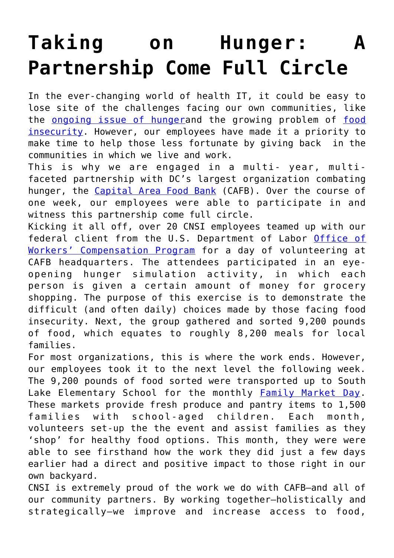## **[Taking on Hunger: A](https://www.cns-inc.com/insights/thought-leadership/taking-on-hunger-a-partnership-come-full-circle/) [Partnership Come Full Circle](https://www.cns-inc.com/insights/thought-leadership/taking-on-hunger-a-partnership-come-full-circle/)**

In the ever-changing world of health IT, it could be easy to lose site of the challenges facing our own communities, like the [ongoing issue of hunger](https://www.dosomething.org/facts/11-facts-about-hunger-us)and the growing problem of [food](https://hungerandhealth.feedingamerica.org/understand-food-insecurity/) [insecurity](https://hungerandhealth.feedingamerica.org/understand-food-insecurity/). However, our employees have made it a priority to make time to help those less fortunate by giving back in the communities in which we live and work.

This is why we are engaged in a multi- year, multifaceted partnership with DC's largest organization combating hunger, the [Capital Area Food Bank](https://www.capitalareafoodbank.org/) (CAFB). Over the course of one week, our employees were able to participate in and witness this partnership come full circle.

Kicking it all off, over 20 CNSI employees teamed up with our federal client from the U.S. Department of Labor [Office of](https://www.cns-inc.com/news-and-press/press/cnsi-awarded-seven-year-166-million-department-of-labor-contract/) [Workers' Compensation Program](https://www.cns-inc.com/news-and-press/press/cnsi-awarded-seven-year-166-million-department-of-labor-contract/) for a day of volunteering at CAFB headquarters. The attendees participated in an eyeopening hunger simulation activity, in which each person is given a certain amount of money for grocery shopping. The purpose of this exercise is to demonstrate the difficult (and often daily) choices made by those facing food insecurity. Next, the group gathered and sorted 9,200 pounds of food, which equates to roughly 8,200 meals for local families.

For most organizations, this is where the work ends. However, our employees took it to the next level the following week. The 9,200 pounds of food sorted were transported up to South Lake Elementary School for the monthly **Family Market Day**. These markets provide fresh produce and pantry items to 1,500 families with school-aged children. Each month, volunteers set-up the the event and assist families as they 'shop' for healthy food options. This month, they were were able to see firsthand how the work they did just a few days earlier had a direct and positive impact to those right in our own backyard.

CNSI is extremely proud of the work we do with CAFB–and all of our community partners. By working together–holistically and strategically–we improve and increase access to food,